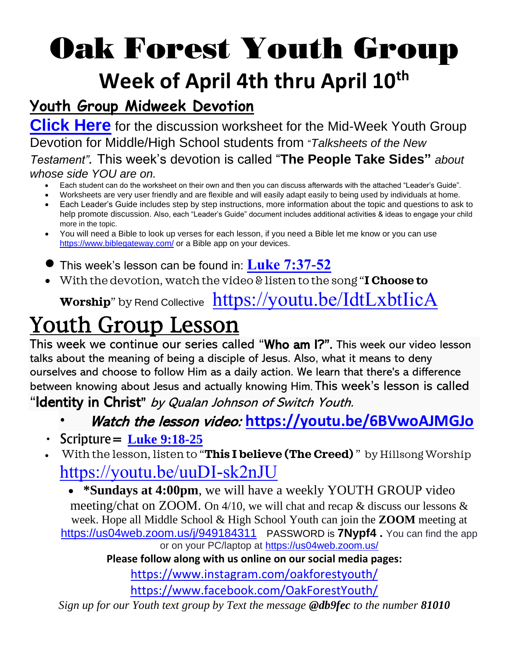## Oak Forest Youth Group **Week of April 4th thru April 10th**

### **Youth Group Midweek Devotion**

**[Click Here](file:///C:/Users/Ben.Roop/OneDrive%20-%20Oak%20Forest%20United%20Methodist%20Church/Documents/people%20take%20sides%20worksheet.pdf)** for the discussion worksheet for the Mid-Week Youth Group Devotion for Middle/High School students from "*Talksheets of the New Testament".* This week's devotion is called "**The People Take Sides"** *about whose side YOU are on.*

- Each student can do the worksheet on their own and then you can discuss afterwards with the attached "Leader's Guide".
- Worksheets are very user friendly and are flexible and will easily adapt easily to being used by individuals at home.
- Each Leader's Guide includes step by step instructions, more information about the topic and questions to ask to help promote discussion. Also, each "Leader's Guide" document includes additional activities & ideas to engage your child more in the topic.
- You will need a Bible to look up verses for each lesson, if you need a Bible let me know or you can use <https://www.biblegateway.com/> or a Bible app on your devices.
- This week's lesson can be found in: **[Luke 7:37-52](https://www.biblegateway.com/passage/?search=luke+7%3A37-52&version=NIV)**
- With the devotion, watch the video & listen to the song "**I Choose to**

**Worship**" by Rend Collective <https://youtu.be/IdtLxbtIicA>

## Youth Group Lesson

This week we continue our series called "Who am I?". This week our video lesson talks about the meaning of being a disciple of Jesus. Also, what it means to deny ourselves and choose to follow Him as a daily action. We learn that there's a difference between knowing about Jesus and actually knowing Him. This week's lesson is called "Identity in Christ" by Qualan Johnson of Switch Youth.

- Watch the lesson video: **<https://youtu.be/6BVwoAJMGJo>**
- $\cdot$  Scripture = **[Luke 9:18-25](https://www.biblegateway.com/passage/?search=luke+9%3A18-25&version=NIV)**
- With the lesson, listen to "**This I believe (The Creed)** " by Hillsong Worship <https://youtu.be/uuDI-sk2nJU>

• **\*Sundays at 4:00pm**, we will have a weekly YOUTH GROUP video meeting/chat on ZOOM. On 4/10, we will chat and recap & discuss our lessons & week. Hope all Middle School & High School Youth can join the **ZOOM** meeting at <https://us04web.zoom.us/j/949184311> PASSWORD is **7Nypf4 .** *You can find the app or on your PC/laptop at<https://us04web.zoom.us/>*

**Please follow along with us online on our social media pages:**

<https://www.instagram.com/oakforestyouth/>

<https://www.facebook.com/OakForestYouth/>

*Sign up for our Youth text group by Text the message @db9fec to the number 81010*